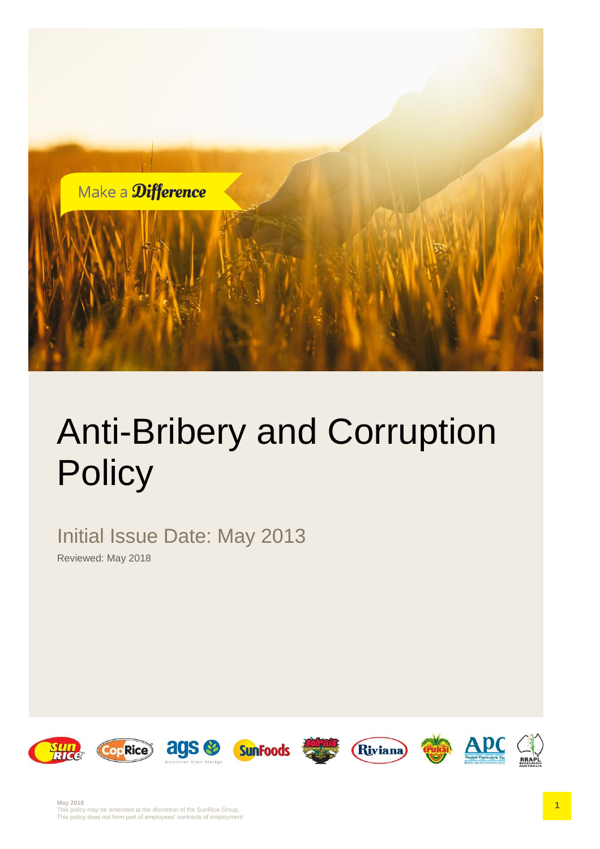

# Anti-Bribery and Corruption **Policy**

Initial Issue Date: May 2013

Reviewed: May 2018

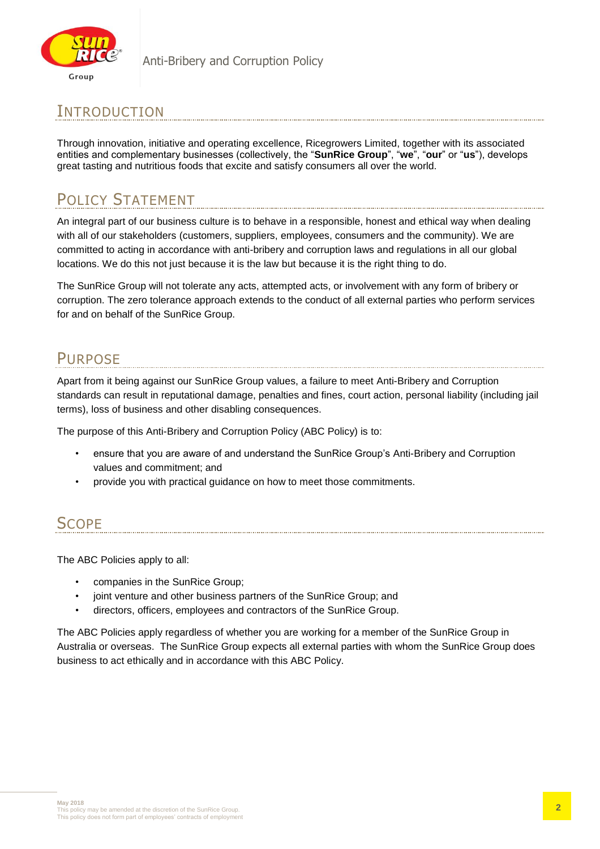

# INTRODUCTION

Through innovation, initiative and operating excellence, Ricegrowers Limited, together with its associated entities and complementary businesses (collectively, the "**SunRice Group**", "**we**", "**our**" or "**us**"), develops great tasting and nutritious foods that excite and satisfy consumers all over the world.

# POLICY STATEMENT

An integral part of our business culture is to behave in a responsible, honest and ethical way when dealing with all of our stakeholders (customers, suppliers, employees, consumers and the community). We are committed to acting in accordance with anti-bribery and corruption laws and regulations in all our global locations. We do this not just because it is the law but because it is the right thing to do.

The SunRice Group will not tolerate any acts, attempted acts, or involvement with any form of bribery or corruption. The zero tolerance approach extends to the conduct of all external parties who perform services for and on behalf of the SunRice Group.

# **PURPOSE**

Apart from it being against our SunRice Group values, a failure to meet Anti-Bribery and Corruption standards can result in reputational damage, penalties and fines, court action, personal liability (including jail terms), loss of business and other disabling consequences.

The purpose of this Anti-Bribery and Corruption Policy (ABC Policy) is to:

- ensure that you are aware of and understand the SunRice Group's Anti-Bribery and Corruption values and commitment; and
- provide you with practical guidance on how to meet those commitments.

# **SCOPE**

The ABC Policies apply to all:

- companies in the SunRice Group;
- joint venture and other business partners of the SunRice Group; and
- directors, officers, employees and contractors of the SunRice Group.

The ABC Policies apply regardless of whether you are working for a member of the SunRice Group in Australia or overseas. The SunRice Group expects all external parties with whom the SunRice Group does business to act ethically and in accordance with this ABC Policy.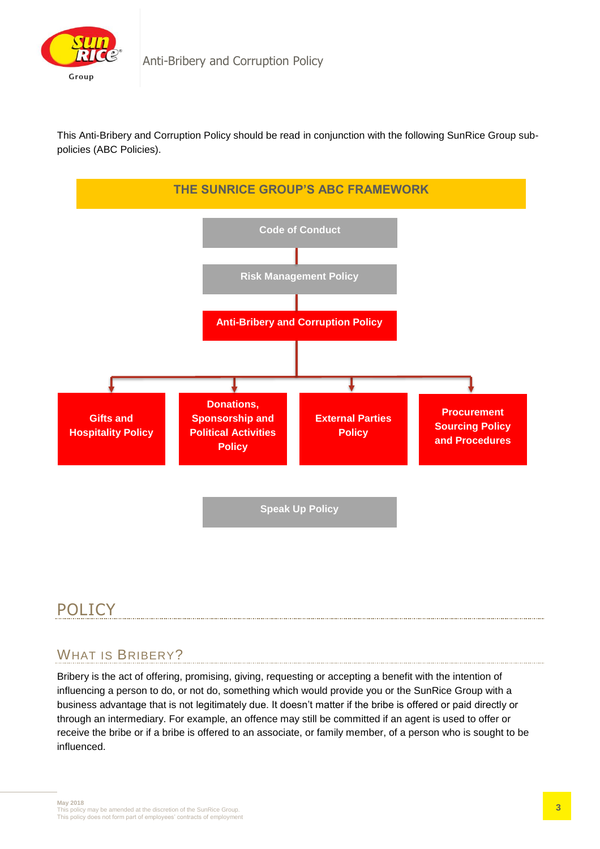

This Anti-Bribery and Corruption Policy should be read in conjunction with the following SunRice Group subpolicies (ABC Policies).



# POLICY

## WHAT IS BRIBERY?

Bribery is the act of offering, promising, giving, requesting or accepting a benefit with the intention of influencing a person to do, or not do, something which would provide you or the SunRice Group with a business advantage that is not legitimately due. It doesn't matter if the bribe is offered or paid directly or through an intermediary. For example, an offence may still be committed if an agent is used to offer or receive the bribe or if a bribe is offered to an associate, or family member, of a person who is sought to be influenced.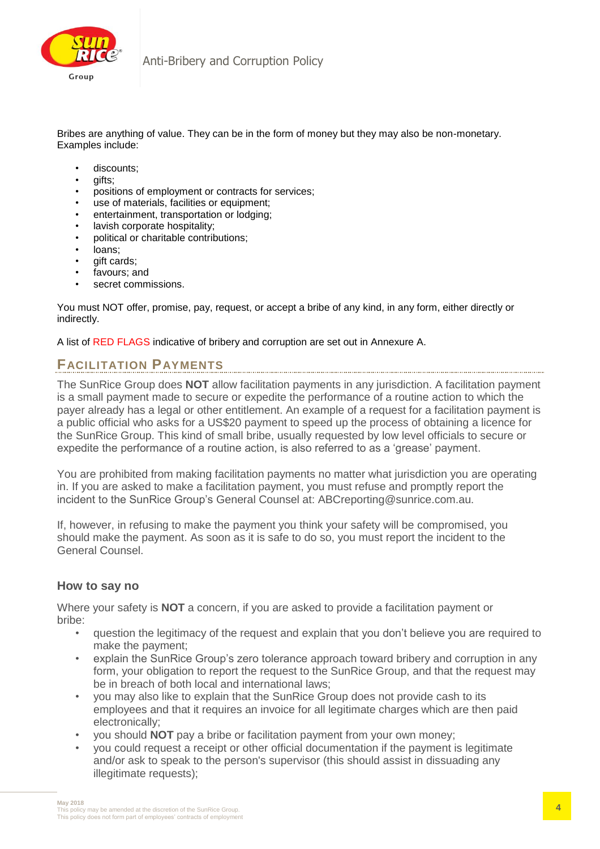

Bribes are anything of value. They can be in the form of money but they may also be non-monetary. Examples include:

- discounts:
- gifts;
- positions of employment or contracts for services;
- use of materials, facilities or equipment;
- entertainment, transportation or lodging;
- lavish corporate hospitality;
- political or charitable contributions;
- loans;
- qift cards:
- favours; and
- secret commissions.

You must NOT offer, promise, pay, request, or accept a bribe of any kind, in any form, either directly or indirectly.

A list of RED FLAGS indicative of bribery and corruption are set out in Annexure A.

### **FACILITATION PAYMENTS**

The SunRice Group does **NOT** allow facilitation payments in any jurisdiction. A facilitation payment is a small payment made to secure or expedite the performance of a routine action to which the payer already has a legal or other entitlement. An example of a request for a facilitation payment is a public official who asks for a US\$20 payment to speed up the process of obtaining a licence for the SunRice Group. This kind of small bribe, usually requested by low level officials to secure or expedite the performance of a routine action, is also referred to as a 'grease' payment.

You are prohibited from making facilitation payments no matter what jurisdiction you are operating in. If you are asked to make a facilitation payment, you must refuse and promptly report the incident to the SunRice Group's General Counsel at: ABCreporting@sunrice.com.au.

If, however, in refusing to make the payment you think your safety will be compromised, you should make the payment. As soon as it is safe to do so, you must report the incident to the General Counsel.

#### **How to say no**

Where your safety is **NOT** a concern, if you are asked to provide a facilitation payment or bribe:

- question the legitimacy of the request and explain that you don't believe you are required to make the payment;
- explain the SunRice Group's zero tolerance approach toward bribery and corruption in any form, your obligation to report the request to the SunRice Group, and that the request may be in breach of both local and international laws;
- you may also like to explain that the SunRice Group does not provide cash to its employees and that it requires an invoice for all legitimate charges which are then paid electronically;
- you should **NOT** pay a bribe or facilitation payment from your own money;
- you could request a receipt or other official documentation if the payment is legitimate and/or ask to speak to the person's supervisor (this should assist in dissuading any illegitimate requests);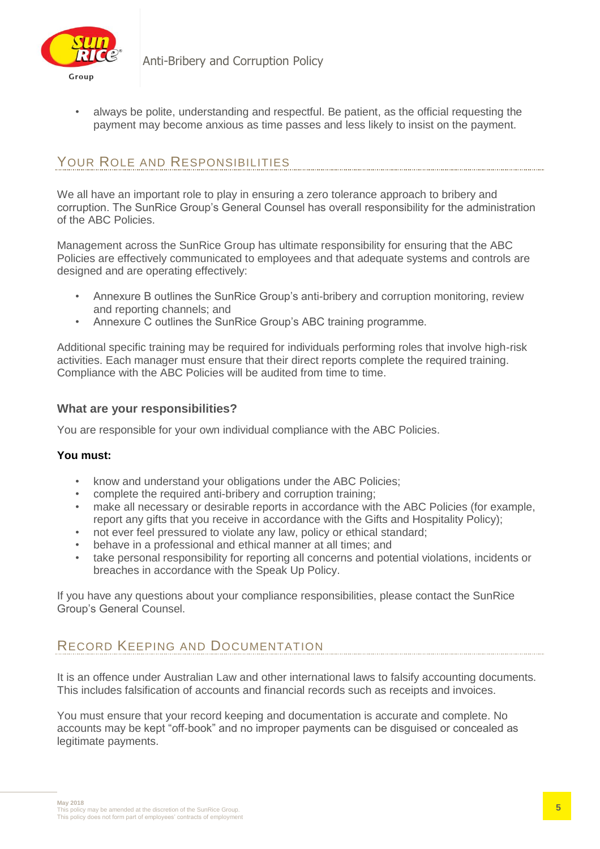

• always be polite, understanding and respectful. Be patient, as the official requesting the payment may become anxious as time passes and less likely to insist on the payment.

### YOUR ROLE AND RESPONSIBILITIES

We all have an important role to play in ensuring a zero tolerance approach to bribery and corruption. The SunRice Group's General Counsel has overall responsibility for the administration of the ABC Policies.

Management across the SunRice Group has ultimate responsibility for ensuring that the ABC Policies are effectively communicated to employees and that adequate systems and controls are designed and are operating effectively:

- Annexure B outlines the SunRice Group's anti-bribery and corruption monitoring, review and reporting channels; and
- Annexure C outlines the SunRice Group's ABC training programme.

Additional specific training may be required for individuals performing roles that involve high-risk activities. Each manager must ensure that their direct reports complete the required training. Compliance with the ABC Policies will be audited from time to time.

#### **What are your responsibilities?**

You are responsible for your own individual compliance with the ABC Policies.

#### **You must:**

- know and understand your obligations under the ABC Policies;
- complete the required anti-bribery and corruption training;
- make all necessary or desirable reports in accordance with the ABC Policies (for example, report any gifts that you receive in accordance with the Gifts and Hospitality Policy);
- not ever feel pressured to violate any law, policy or ethical standard;
- behave in a professional and ethical manner at all times; and
- take personal responsibility for reporting all concerns and potential violations, incidents or breaches in accordance with the Speak Up Policy.

If you have any questions about your compliance responsibilities, please contact the SunRice Group's General Counsel.

## RECORD KEEPING AND DOCUMENTATION

It is an offence under Australian Law and other international laws to falsify accounting documents. This includes falsification of accounts and financial records such as receipts and invoices.

You must ensure that your record keeping and documentation is accurate and complete. No accounts may be kept "off-book" and no improper payments can be disguised or concealed as legitimate payments.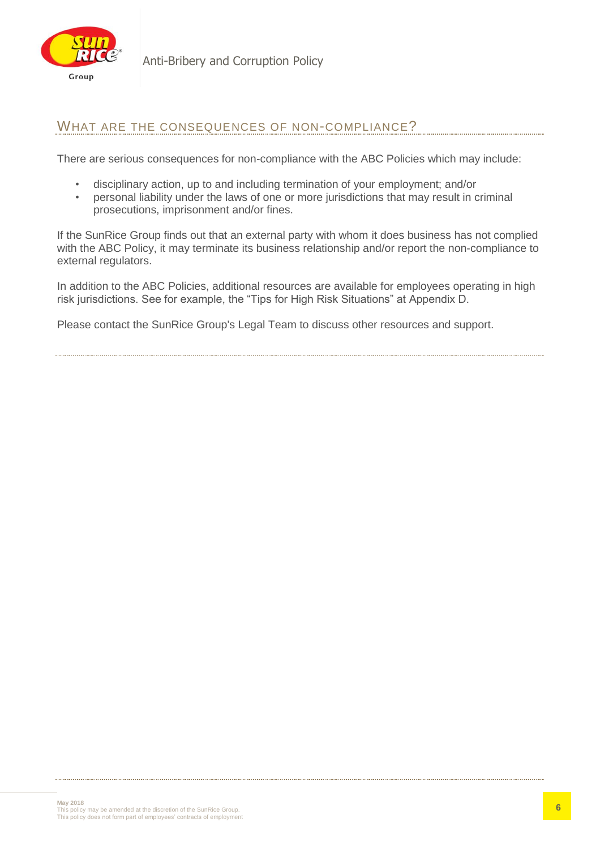

Anti-Bribery and Corruption Policy

### WHAT ARE THE CONSEQUENCES OF NON-COMPLIANCE?

There are serious consequences for non-compliance with the ABC Policies which may include:

- disciplinary action, up to and including termination of your employment; and/or
- personal liability under the laws of one or more jurisdictions that may result in criminal prosecutions, imprisonment and/or fines.

If the SunRice Group finds out that an external party with whom it does business has not complied with the ABC Policy, it may terminate its business relationship and/or report the non-compliance to external regulators.

In addition to the ABC Policies, additional resources are available for employees operating in high risk jurisdictions. See for example, the "Tips for High Risk Situations" at Appendix D.

Please contact the SunRice Group's Legal Team to discuss other resources and support.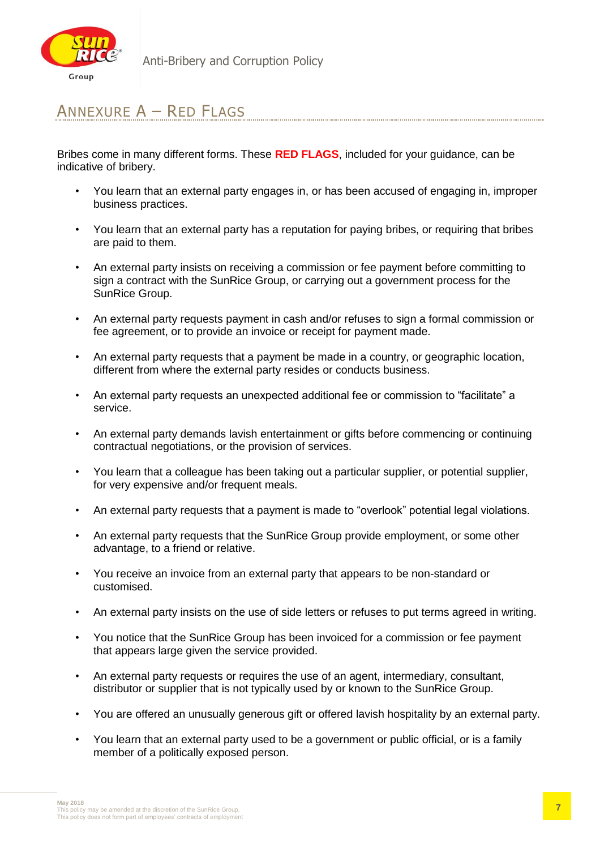

# ANNEXURE A – RED FLAGS

Bribes come in many different forms. These **RED FLAGS**, included for your guidance, can be indicative of bribery.

- You learn that an external party engages in, or has been accused of engaging in, improper business practices.
- You learn that an external party has a reputation for paying bribes, or requiring that bribes are paid to them.
- An external party insists on receiving a commission or fee payment before committing to sign a contract with the SunRice Group, or carrying out a government process for the SunRice Group.
- An external party requests payment in cash and/or refuses to sign a formal commission or fee agreement, or to provide an invoice or receipt for payment made.
- An external party requests that a payment be made in a country, or geographic location, different from where the external party resides or conducts business.
- An external party requests an unexpected additional fee or commission to "facilitate" a service.
- An external party demands lavish entertainment or gifts before commencing or continuing contractual negotiations, or the provision of services.
- You learn that a colleague has been taking out a particular supplier, or potential supplier, for very expensive and/or frequent meals.
- An external party requests that a payment is made to "overlook" potential legal violations.
- An external party requests that the SunRice Group provide employment, or some other advantage, to a friend or relative.
- You receive an invoice from an external party that appears to be non-standard or customised.
- An external party insists on the use of side letters or refuses to put terms agreed in writing.
- You notice that the SunRice Group has been invoiced for a commission or fee payment that appears large given the service provided.
- An external party requests or requires the use of an agent, intermediary, consultant, distributor or supplier that is not typically used by or known to the SunRice Group.
- You are offered an unusually generous gift or offered lavish hospitality by an external party.
- You learn that an external party used to be a government or public official, or is a family member of a politically exposed person.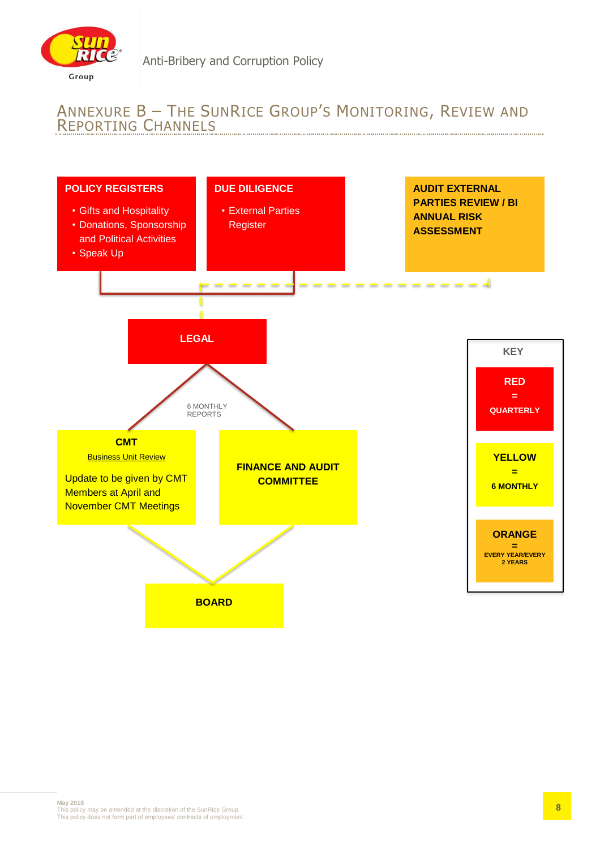

# ANNEXURE B – THE SUNRICE GROUP'S MONITORING, REVIEW AND REPORTING CHANNELS

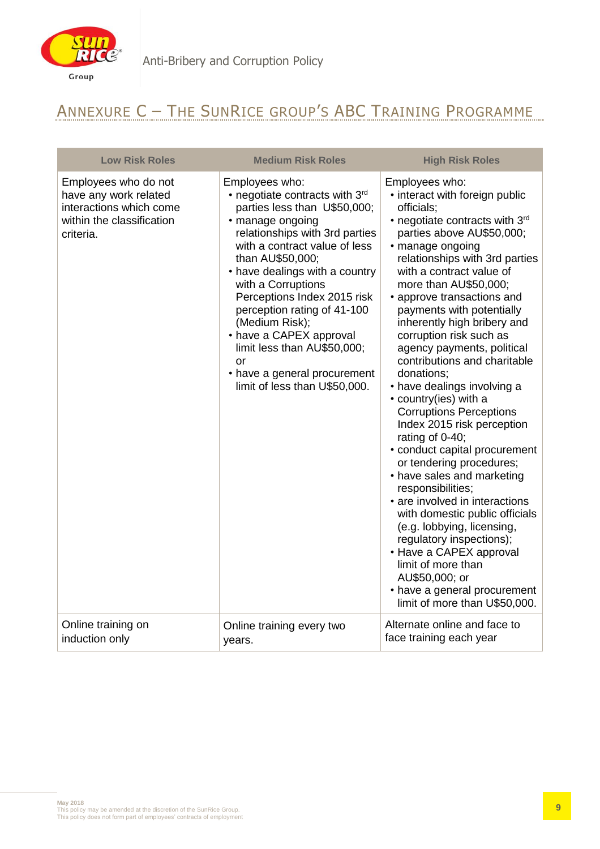

# ANNEXURE C – THE SUNRICE GROUP'S ABC TRAINING PROGRAMME

| <b>Low Risk Roles</b>                                                                                              | <b>Medium Risk Roles</b>                                                                                                                                                                                                                                                                                                                                                                                                                                             | <b>High Risk Roles</b>                                                                                                                                                                                                                                                                                                                                                                                                                                                                                                                                                                                                                                                                                                                                                                                                                                                                                                                                                 |
|--------------------------------------------------------------------------------------------------------------------|----------------------------------------------------------------------------------------------------------------------------------------------------------------------------------------------------------------------------------------------------------------------------------------------------------------------------------------------------------------------------------------------------------------------------------------------------------------------|------------------------------------------------------------------------------------------------------------------------------------------------------------------------------------------------------------------------------------------------------------------------------------------------------------------------------------------------------------------------------------------------------------------------------------------------------------------------------------------------------------------------------------------------------------------------------------------------------------------------------------------------------------------------------------------------------------------------------------------------------------------------------------------------------------------------------------------------------------------------------------------------------------------------------------------------------------------------|
| Employees who do not<br>have any work related<br>interactions which come<br>within the classification<br>criteria. | Employees who:<br>• negotiate contracts with 3rd<br>parties less than U\$50,000;<br>· manage ongoing<br>relationships with 3rd parties<br>with a contract value of less<br>than AU\$50,000;<br>• have dealings with a country<br>with a Corruptions<br>Perceptions Index 2015 risk<br>perception rating of 41-100<br>(Medium Risk);<br>• have a CAPEX approval<br>limit less than AU\$50,000;<br>or<br>• have a general procurement<br>limit of less than U\$50,000. | Employees who:<br>• interact with foreign public<br>officials;<br>• negotiate contracts with 3rd<br>parties above AU\$50,000;<br>· manage ongoing<br>relationships with 3rd parties<br>with a contract value of<br>more than AU\$50,000;<br>• approve transactions and<br>payments with potentially<br>inherently high bribery and<br>corruption risk such as<br>agency payments, political<br>contributions and charitable<br>donations:<br>• have dealings involving a<br>• country(ies) with a<br><b>Corruptions Perceptions</b><br>Index 2015 risk perception<br>rating of 0-40;<br>• conduct capital procurement<br>or tendering procedures;<br>• have sales and marketing<br>responsibilities;<br>• are involved in interactions<br>with domestic public officials<br>(e.g. lobbying, licensing,<br>regulatory inspections);<br>• Have a CAPEX approval<br>limit of more than<br>AU\$50,000; or<br>• have a general procurement<br>limit of more than U\$50,000. |
| Online training on<br>induction only                                                                               | Online training every two<br>years.                                                                                                                                                                                                                                                                                                                                                                                                                                  | Alternate online and face to<br>face training each year                                                                                                                                                                                                                                                                                                                                                                                                                                                                                                                                                                                                                                                                                                                                                                                                                                                                                                                |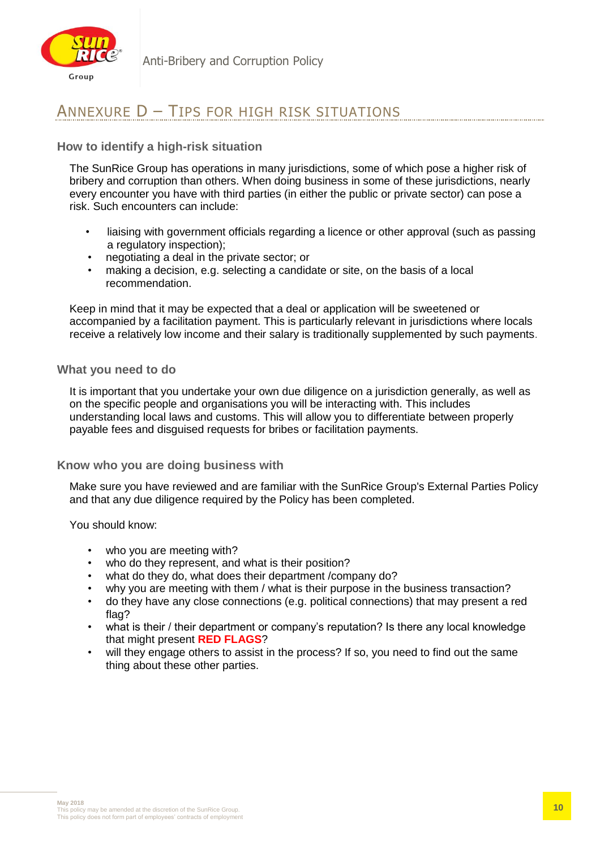

# ANNEXURE D – TIPS FOR HIGH RISK SITUATIONS

### **How to identify a high-risk situation**

The SunRice Group has operations in many jurisdictions, some of which pose a higher risk of bribery and corruption than others. When doing business in some of these jurisdictions, nearly every encounter you have with third parties (in either the public or private sector) can pose a risk. Such encounters can include:

- liaising with government officials regarding a licence or other approval (such as passing a regulatory inspection);
- negotiating a deal in the private sector; or
- making a decision, e.g. selecting a candidate or site, on the basis of a local recommendation.

Keep in mind that it may be expected that a deal or application will be sweetened or accompanied by a facilitation payment. This is particularly relevant in jurisdictions where locals receive a relatively low income and their salary is traditionally supplemented by such payments.

#### **What you need to do**

It is important that you undertake your own due diligence on a jurisdiction generally, as well as on the specific people and organisations you will be interacting with. This includes understanding local laws and customs. This will allow you to differentiate between properly payable fees and disguised requests for bribes or facilitation payments.

#### **Know who you are doing business with**

Make sure you have reviewed and are familiar with the SunRice Group's External Parties Policy and that any due diligence required by the Policy has been completed.

You should know:

- who you are meeting with?
- who do they represent, and what is their position?
- what do they do, what does their department /company do?
- why you are meeting with them / what is their purpose in the business transaction?
- do they have any close connections (e.g. political connections) that may present a red flag?
- what is their / their department or company's reputation? Is there any local knowledge that might present **RED FLAGS**?
- will they engage others to assist in the process? If so, you need to find out the same thing about these other parties.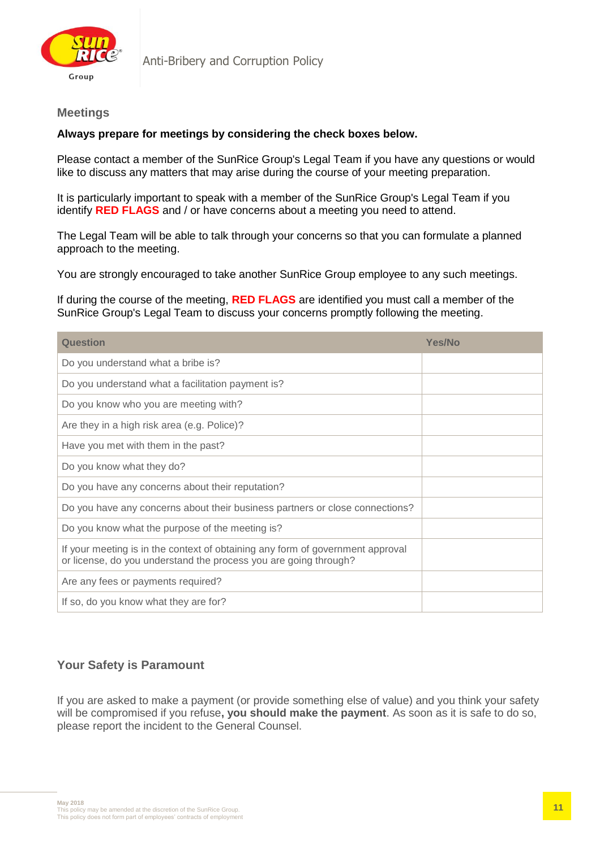

#### **Meetings**

#### **Always prepare for meetings by considering the check boxes below.**

Please contact a member of the SunRice Group's Legal Team if you have any questions or would like to discuss any matters that may arise during the course of your meeting preparation.

It is particularly important to speak with a member of the SunRice Group's Legal Team if you identify **RED FLAGS** and / or have concerns about a meeting you need to attend.

The Legal Team will be able to talk through your concerns so that you can formulate a planned approach to the meeting.

You are strongly encouraged to take another SunRice Group employee to any such meetings.

If during the course of the meeting, **RED FLAGS** are identified you must call a member of the SunRice Group's Legal Team to discuss your concerns promptly following the meeting.

| Question                                                                                                                                           | <b>Yes/No</b> |
|----------------------------------------------------------------------------------------------------------------------------------------------------|---------------|
| Do you understand what a bribe is?                                                                                                                 |               |
| Do you understand what a facilitation payment is?                                                                                                  |               |
| Do you know who you are meeting with?                                                                                                              |               |
| Are they in a high risk area (e.g. Police)?                                                                                                        |               |
| Have you met with them in the past?                                                                                                                |               |
| Do you know what they do?                                                                                                                          |               |
| Do you have any concerns about their reputation?                                                                                                   |               |
| Do you have any concerns about their business partners or close connections?                                                                       |               |
| Do you know what the purpose of the meeting is?                                                                                                    |               |
| If your meeting is in the context of obtaining any form of government approval<br>or license, do you understand the process you are going through? |               |
| Are any fees or payments required?                                                                                                                 |               |
| If so, do you know what they are for?                                                                                                              |               |

### **Your Safety is Paramount**

If you are asked to make a payment (or provide something else of value) and you think your safety will be compromised if you refuse**, you should make the payment**. As soon as it is safe to do so, please report the incident to the General Counsel.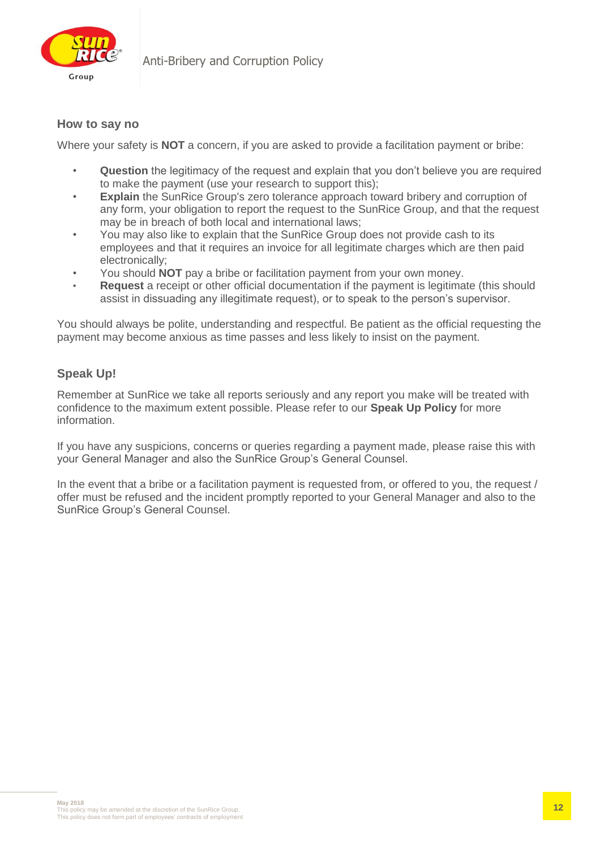

### **How to say no**

Where your safety is **NOT** a concern, if you are asked to provide a facilitation payment or bribe:

- **Question** the legitimacy of the request and explain that you don't believe you are required to make the payment (use your research to support this);
- **Explain** the SunRice Group's zero tolerance approach toward bribery and corruption of any form, your obligation to report the request to the SunRice Group, and that the request may be in breach of both local and international laws;
- You may also like to explain that the SunRice Group does not provide cash to its employees and that it requires an invoice for all legitimate charges which are then paid electronically;
- You should **NOT** pay a bribe or facilitation payment from your own money.
- **Request** a receipt or other official documentation if the payment is legitimate (this should assist in dissuading any illegitimate request), or to speak to the person's supervisor.

You should always be polite, understanding and respectful. Be patient as the official requesting the payment may become anxious as time passes and less likely to insist on the payment.

### **Speak Up!**

Remember at SunRice we take all reports seriously and any report you make will be treated with confidence to the maximum extent possible. Please refer to our **Speak Up Policy** for more information.

If you have any suspicions, concerns or queries regarding a payment made, please raise this with your General Manager and also the SunRice Group's General Counsel.

In the event that a bribe or a facilitation payment is requested from, or offered to you, the request / offer must be refused and the incident promptly reported to your General Manager and also to the SunRice Group's General Counsel.